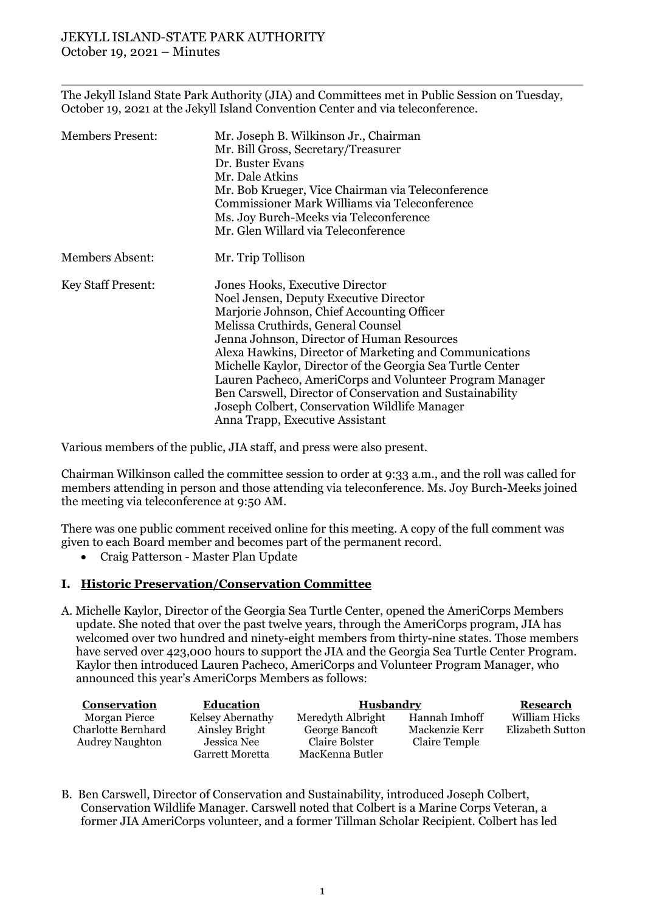The Jekyll Island State Park Authority (JIA) and Committees met in Public Session on Tuesday, October 19, 2021 at the Jekyll Island Convention Center and via teleconference.

| <b>Members Present:</b>   | Mr. Joseph B. Wilkinson Jr., Chairman<br>Mr. Bill Gross, Secretary/Treasurer<br>Dr. Buster Evans<br>Mr. Dale Atkins<br>Mr. Bob Krueger, Vice Chairman via Teleconference<br>Commissioner Mark Williams via Teleconference<br>Ms. Joy Burch-Meeks via Teleconference<br>Mr. Glen Willard via Teleconference                                                                                                                                                                                                                                        |  |  |
|---------------------------|---------------------------------------------------------------------------------------------------------------------------------------------------------------------------------------------------------------------------------------------------------------------------------------------------------------------------------------------------------------------------------------------------------------------------------------------------------------------------------------------------------------------------------------------------|--|--|
|                           |                                                                                                                                                                                                                                                                                                                                                                                                                                                                                                                                                   |  |  |
| <b>Members Absent:</b>    | Mr. Trip Tollison                                                                                                                                                                                                                                                                                                                                                                                                                                                                                                                                 |  |  |
| <b>Key Staff Present:</b> | Jones Hooks, Executive Director<br>Noel Jensen, Deputy Executive Director<br>Marjorie Johnson, Chief Accounting Officer<br>Melissa Cruthirds, General Counsel<br>Jenna Johnson, Director of Human Resources<br>Alexa Hawkins, Director of Marketing and Communications<br>Michelle Kaylor, Director of the Georgia Sea Turtle Center<br>Lauren Pacheco, AmeriCorps and Volunteer Program Manager<br>Ben Carswell, Director of Conservation and Sustainability<br>Joseph Colbert, Conservation Wildlife Manager<br>Anna Trapp, Executive Assistant |  |  |

Various members of the public, JIA staff, and press were also present.

Chairman Wilkinson called the committee session to order at 9:33 a.m., and the roll was called for members attending in person and those attending via teleconference. Ms. Joy Burch-Meeks joined the meeting via teleconference at 9:50 AM.

There was one public comment received online for this meeting. A copy of the full comment was given to each Board member and becomes part of the permanent record.

• Craig Patterson - Master Plan Update

## **I. Historic Preservation/Conservation Committee**

A. Michelle Kaylor, Director of the Georgia Sea Turtle Center, opened the AmeriCorps Members update. She noted that over the past twelve years, through the AmeriCorps program, JIA has welcomed over two hundred and ninety-eight members from thirty-nine states. Those members have served over 423,000 hours to support the JIA and the Georgia Sea Turtle Center Program. Kaylor then introduced Lauren Pacheco, AmeriCorps and Volunteer Program Manager, who announced this year's AmeriCorps Members as follows:

| Conservation           | <b>Education</b>       | Husbandry         |                | Research         |
|------------------------|------------------------|-------------------|----------------|------------------|
| Morgan Pierce          | Kelsey Abernathy       | Meredyth Albright | Hannah Imhoff  | William Hicks    |
| Charlotte Bernhard     | Ainsley Bright         | George Bancoft    | Mackenzie Kerr | Elizabeth Sutton |
| <b>Audrey Naughton</b> | Jessica Nee            | Claire Bolster    | Claire Temple  |                  |
|                        | <b>Garrett Moretta</b> | MacKenna Butler   |                |                  |

B. Ben Carswell, Director of Conservation and Sustainability, introduced Joseph Colbert, Conservation Wildlife Manager. Carswell noted that Colbert is a Marine Corps Veteran, a former JIA AmeriCorps volunteer, and a former Tillman Scholar Recipient. Colbert has led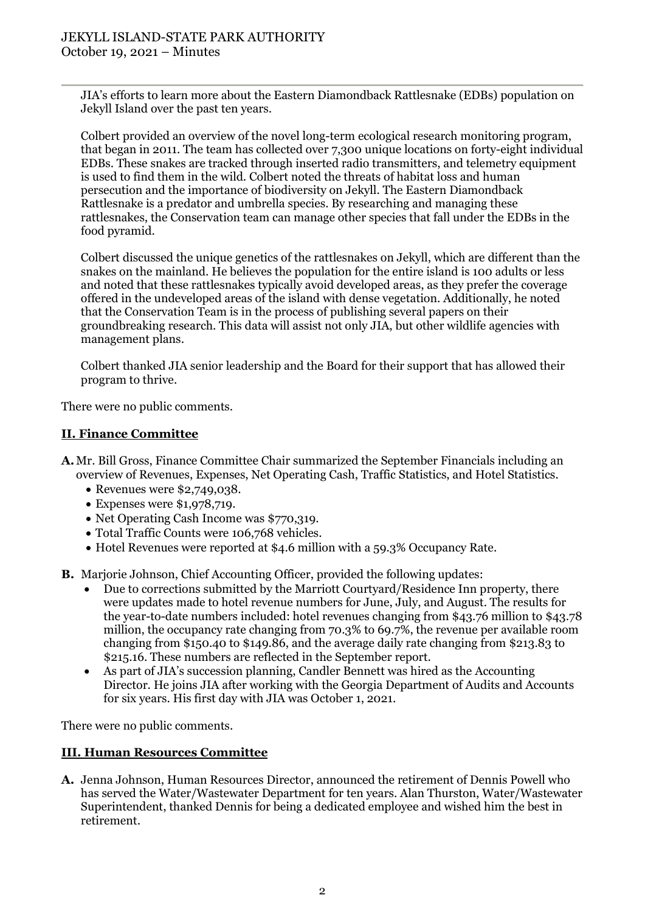JIA's efforts to learn more about the Eastern Diamondback Rattlesnake (EDBs) population on Jekyll Island over the past ten years.

Colbert provided an overview of the novel long-term ecological research monitoring program, that began in 2011. The team has collected over 7,300 unique locations on forty-eight individual EDBs. These snakes are tracked through inserted radio transmitters, and telemetry equipment is used to find them in the wild. Colbert noted the threats of habitat loss and human persecution and the importance of biodiversity on Jekyll. The Eastern Diamondback Rattlesnake is a predator and umbrella species. By researching and managing these rattlesnakes, the Conservation team can manage other species that fall under the EDBs in the food pyramid.

Colbert discussed the unique genetics of the rattlesnakes on Jekyll, which are different than the snakes on the mainland. He believes the population for the entire island is 100 adults or less and noted that these rattlesnakes typically avoid developed areas, as they prefer the coverage offered in the undeveloped areas of the island with dense vegetation. Additionally, he noted that the Conservation Team is in the process of publishing several papers on their groundbreaking research. This data will assist not only JIA, but other wildlife agencies with management plans.

Colbert thanked JIA senior leadership and the Board for their support that has allowed their program to thrive.

There were no public comments.

## **II. Finance Committee**

- **A.**Mr. Bill Gross, Finance Committee Chair summarized the September Financials including an overview of Revenues, Expenses, Net Operating Cash, Traffic Statistics, and Hotel Statistics.
	- Revenues were \$2,749,038.
	- Expenses were \$1,978,719.
	- Net Operating Cash Income was \$770,319.
	- Total Traffic Counts were 106,768 vehicles.
	- Hotel Revenues were reported at \$4.6 million with a 59.3% Occupancy Rate.

**B.** Marjorie Johnson, Chief Accounting Officer, provided the following updates:

- Due to corrections submitted by the Marriott Courtyard/Residence Inn property, there were updates made to hotel revenue numbers for June, July, and August. The results for the year-to-date numbers included: hotel revenues changing from \$43.76 million to \$43.78 million, the occupancy rate changing from 70.3% to 69.7%, the revenue per available room changing from \$150.40 to \$149.86, and the average daily rate changing from \$213.83 to \$215.16. These numbers are reflected in the September report.
- As part of JIA's succession planning, Candler Bennett was hired as the Accounting Director. He joins JIA after working with the Georgia Department of Audits and Accounts for six years. His first day with JIA was October 1, 2021.

There were no public comments.

## **III. Human Resources Committee**

**A.** Jenna Johnson, Human Resources Director, announced the retirement of Dennis Powell who has served the Water/Wastewater Department for ten years. Alan Thurston, Water/Wastewater Superintendent, thanked Dennis for being a dedicated employee and wished him the best in retirement.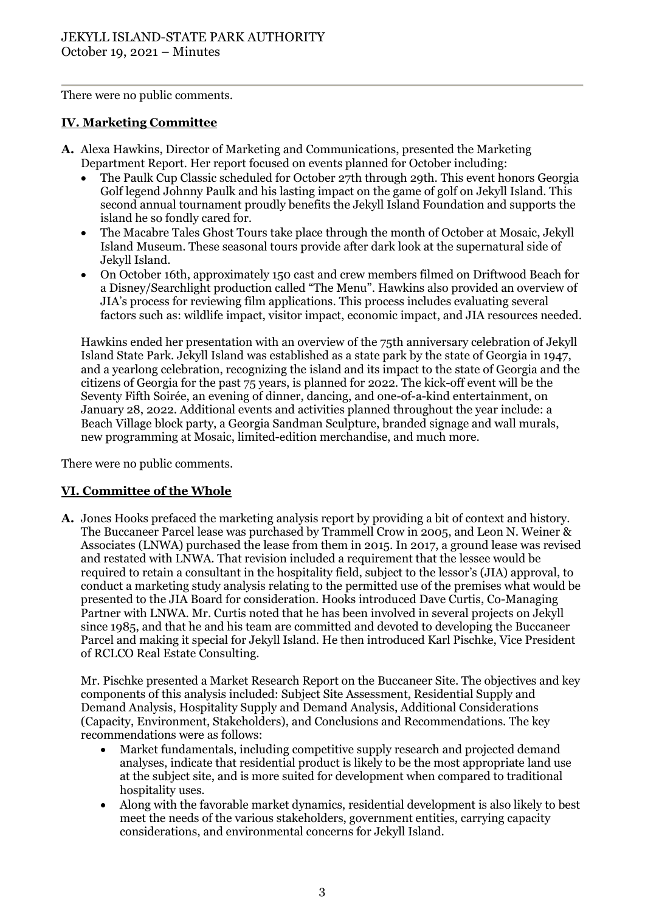There were no public comments.

# **IV. Marketing Committee**

- **A.** Alexa Hawkins, Director of Marketing and Communications, presented the Marketing Department Report. Her report focused on events planned for October including:
	- The Paulk Cup Classic scheduled for October 27th through 29th. This event honors Georgia Golf legend Johnny Paulk and his lasting impact on the game of golf on Jekyll Island. This second annual tournament proudly benefits the Jekyll Island Foundation and supports the island he so fondly cared for.
	- The Macabre Tales Ghost Tours take place through the month of October at Mosaic, Jekyll Island Museum. These seasonal tours provide after dark look at the supernatural side of Jekyll Island.
	- On October 16th, approximately 150 cast and crew members filmed on Driftwood Beach for a Disney/Searchlight production called "The Menu". Hawkins also provided an overview of JIA's process for reviewing film applications. This process includes evaluating several factors such as: wildlife impact, visitor impact, economic impact, and JIA resources needed.

Hawkins ended her presentation with an overview of the 75th anniversary celebration of Jekyll Island State Park. Jekyll Island was established as a state park by the state of Georgia in 1947, and a yearlong celebration, recognizing the island and its impact to the state of Georgia and the citizens of Georgia for the past 75 years, is planned for 2022. The kick-off event will be the Seventy Fifth Soirée, an evening of dinner, dancing, and one-of-a-kind entertainment, on January 28, 2022. Additional events and activities planned throughout the year include: a Beach Village block party, a Georgia Sandman Sculpture, branded signage and wall murals, new programming at Mosaic, limited-edition merchandise, and much more.

There were no public comments.

# **VI. Committee of the Whole**

**A.** Jones Hooks prefaced the marketing analysis report by providing a bit of context and history. The Buccaneer Parcel lease was purchased by Trammell Crow in 2005, and Leon N. Weiner & Associates (LNWA) purchased the lease from them in 2015. In 2017, a ground lease was revised and restated with LNWA. That revision included a requirement that the lessee would be required to retain a consultant in the hospitality field, subject to the lessor's (JIA) approval, to conduct a marketing study analysis relating to the permitted use of the premises what would be presented to the JIA Board for consideration. Hooks introduced Dave Curtis, Co-Managing Partner with LNWA. Mr. Curtis noted that he has been involved in several projects on Jekyll since 1985, and that he and his team are committed and devoted to developing the Buccaneer Parcel and making it special for Jekyll Island. He then introduced Karl Pischke, Vice President of RCLCO Real Estate Consulting.

Mr. Pischke presented a Market Research Report on the Buccaneer Site. The objectives and key components of this analysis included: Subject Site Assessment, Residential Supply and Demand Analysis, Hospitality Supply and Demand Analysis, Additional Considerations (Capacity, Environment, Stakeholders), and Conclusions and Recommendations. The key recommendations were as follows:

- Market fundamentals, including competitive supply research and projected demand analyses, indicate that residential product is likely to be the most appropriate land use at the subject site, and is more suited for development when compared to traditional hospitality uses.
- Along with the favorable market dynamics, residential development is also likely to best meet the needs of the various stakeholders, government entities, carrying capacity considerations, and environmental concerns for Jekyll Island.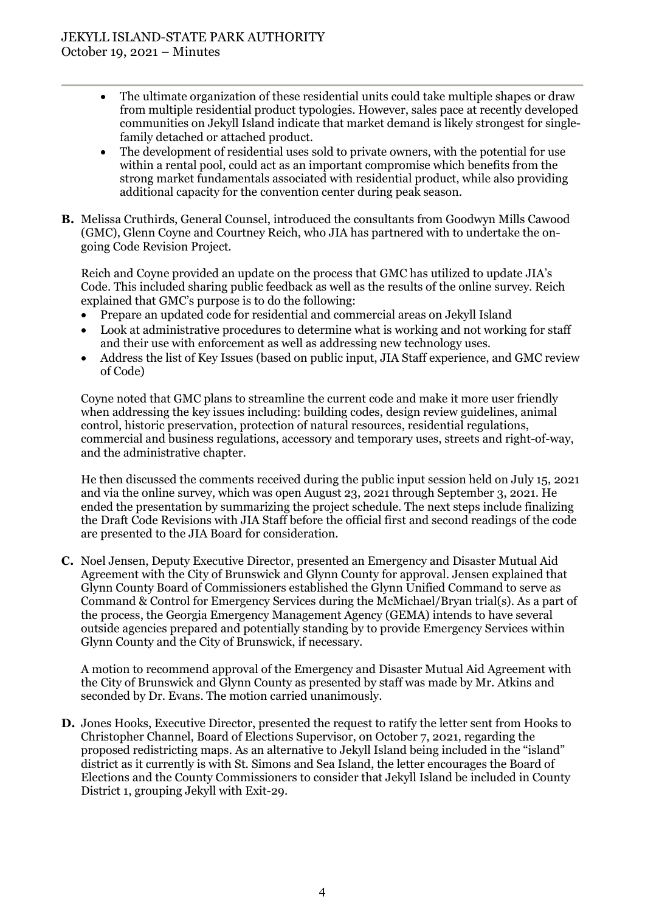- The ultimate organization of these residential units could take multiple shapes or draw from multiple residential product typologies. However, sales pace at recently developed communities on Jekyll Island indicate that market demand is likely strongest for singlefamily detached or attached product.
- The development of residential uses sold to private owners, with the potential for use within a rental pool, could act as an important compromise which benefits from the strong market fundamentals associated with residential product, while also providing additional capacity for the convention center during peak season.
- **B.** Melissa Cruthirds, General Counsel, introduced the consultants from Goodwyn Mills Cawood (GMC), Glenn Coyne and Courtney Reich, who JIA has partnered with to undertake the ongoing Code Revision Project.

Reich and Coyne provided an update on the process that GMC has utilized to update JIA's Code. This included sharing public feedback as well as the results of the online survey. Reich explained that GMC's purpose is to do the following:

- Prepare an updated code for residential and commercial areas on Jekyll Island
- Look at administrative procedures to determine what is working and not working for staff and their use with enforcement as well as addressing new technology uses.
- Address the list of Key Issues (based on public input, JIA Staff experience, and GMC review of Code)

Coyne noted that GMC plans to streamline the current code and make it more user friendly when addressing the key issues including: building codes, design review guidelines, animal control, historic preservation, protection of natural resources, residential regulations, commercial and business regulations, accessory and temporary uses, streets and right-of-way, and the administrative chapter.

He then discussed the comments received during the public input session held on July 15, 2021 and via the online survey, which was open August 23, 2021 through September 3, 2021. He ended the presentation by summarizing the project schedule. The next steps include finalizing the Draft Code Revisions with JIA Staff before the official first and second readings of the code are presented to the JIA Board for consideration.

**C.** Noel Jensen, Deputy Executive Director, presented an Emergency and Disaster Mutual Aid Agreement with the City of Brunswick and Glynn County for approval. Jensen explained that Glynn County Board of Commissioners established the Glynn Unified Command to serve as Command & Control for Emergency Services during the McMichael/Bryan trial(s). As a part of the process, the Georgia Emergency Management Agency (GEMA) intends to have several outside agencies prepared and potentially standing by to provide Emergency Services within Glynn County and the City of Brunswick, if necessary.

A motion to recommend approval of the Emergency and Disaster Mutual Aid Agreement with the City of Brunswick and Glynn County as presented by staff was made by Mr. Atkins and seconded by Dr. Evans. The motion carried unanimously.

**D.** Jones Hooks, Executive Director, presented the request to ratify the letter sent from Hooks to Christopher Channel, Board of Elections Supervisor, on October 7, 2021, regarding the proposed redistricting maps. As an alternative to Jekyll Island being included in the "island" district as it currently is with St. Simons and Sea Island, the letter encourages the Board of Elections and the County Commissioners to consider that Jekyll Island be included in County District 1, grouping Jekyll with Exit-29.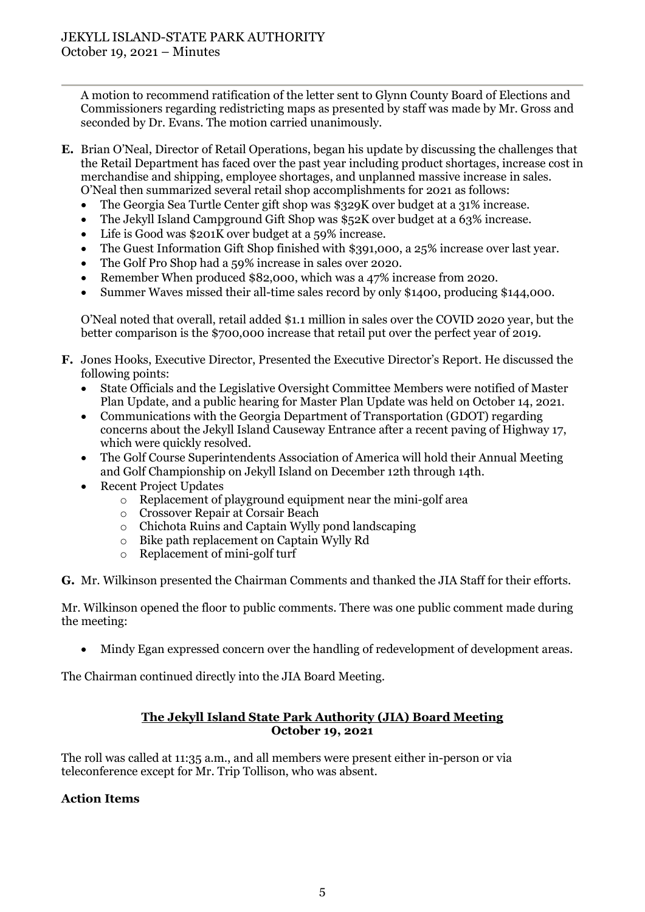A motion to recommend ratification of the letter sent to Glynn County Board of Elections and Commissioners regarding redistricting maps as presented by staff was made by Mr. Gross and seconded by Dr. Evans. The motion carried unanimously.

- **E.** Brian O'Neal, Director of Retail Operations, began his update by discussing the challenges that the Retail Department has faced over the past year including product shortages, increase cost in merchandise and shipping, employee shortages, and unplanned massive increase in sales. O'Neal then summarized several retail shop accomplishments for 2021 as follows:
	- The Georgia Sea Turtle Center gift shop was \$329K over budget at a 31% increase.
	- The Jekyll Island Campground Gift Shop was \$52K over budget at a 63% increase.
	- Life is Good was \$201K over budget at a 59% increase.
	- The Guest Information Gift Shop finished with \$391,000, a 25% increase over last year.
	- The Golf Pro Shop had a 59% increase in sales over 2020.
	- Remember When produced \$82,000, which was a 47% increase from 2020.
	- Summer Waves missed their all-time sales record by only \$1400, producing \$144,000.

O'Neal noted that overall, retail added \$1.1 million in sales over the COVID 2020 year, but the better comparison is the \$700,000 increase that retail put over the perfect year of 2019.

- **F.** Jones Hooks, Executive Director, Presented the Executive Director's Report. He discussed the following points:
	- State Officials and the Legislative Oversight Committee Members were notified of Master Plan Update, and a public hearing for Master Plan Update was held on October 14, 2021.
	- Communications with the Georgia Department of Transportation (GDOT) regarding concerns about the Jekyll Island Causeway Entrance after a recent paving of Highway 17, which were quickly resolved.
	- The Golf Course Superintendents Association of America will hold their Annual Meeting and Golf Championship on Jekyll Island on December 12th through 14th.
	- Recent Project Updates
		- o Replacement of playground equipment near the mini-golf area
		- o Crossover Repair at Corsair Beach
		- o Chichota Ruins and Captain Wylly pond landscaping
		- o Bike path replacement on Captain Wylly Rd
		- o Replacement of mini-golf turf

**G.** Mr. Wilkinson presented the Chairman Comments and thanked the JIA Staff for their efforts.

Mr. Wilkinson opened the floor to public comments. There was one public comment made during the meeting:

• Mindy Egan expressed concern over the handling of redevelopment of development areas.

The Chairman continued directly into the JIA Board Meeting.

## **The Jekyll Island State Park Authority (JIA) Board Meeting October 19, 2021**

The roll was called at 11:35 a.m., and all members were present either in-person or via teleconference except for Mr. Trip Tollison, who was absent.

# **Action Items**